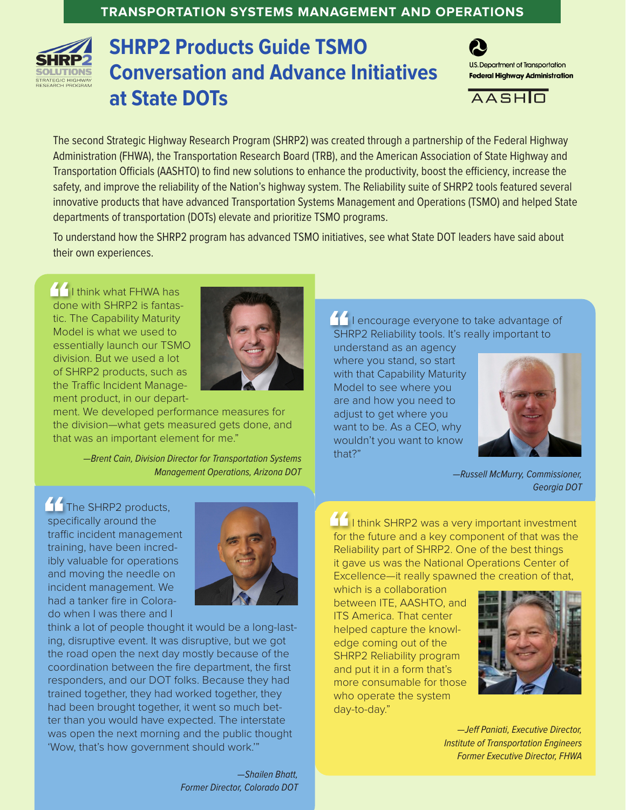## **TRANSPORTATION SYSTEMS MANAGEMENT AND OPERATIONS**



## **SHRP2 Products Guide TSMO Conversation and Advance Initiatives at State DOTs**



 $A A S H \n<sub>1</sub>$ 

The second Strategic Highway Research Program (SHRP2) was created through a partnership of the Federal Highway Administration (FHWA), the Transportation Research Board (TRB), and the American Association of State Highway and Transportation Officials (AASHTO) to find new solutions to enhance the productivity, boost the efficiency, increase the safety, and improve the reliability of the Nation's highway system. The Reliability suite of SHRP2 tools featured several innovative products that have advanced Transportation Systems Management and Operations (TSMO) and helped State departments of transportation (DOTs) elevate and prioritize TSMO programs.

To understand how the SHRP2 program has advanced TSMO initiatives, see what State DOT leaders have said about their own experiences.

I I think what FHWA has done with SHRP2 is fantastic. The Capability Maturity Model is what we used to essentially launch our TSMO division. But we used a lot of SHRP2 products, such as the Traffic Incident Management product, in our depart-



ment. We developed performance measures for the division—what gets measured gets done, and that was an important element for me."

> —Brent Cain, Division Director for Transportation Systems Management Operations, Arizona DOT

The SHRP2 products, specifically around the traffic incident management training, have been incredibly valuable for operations and moving the needle on incident management. We had a tanker fire in Colorado when I was there and I



think a lot of people thought it would be a long-lasting, disruptive event. It was disruptive, but we got the road open the next day mostly because of the coordination between the fire department, the first responders, and our DOT folks. Because they had trained together, they had worked together, they had been brought together, it went so much better than you would have expected. The interstate was open the next morning and the public thought 'Wow, that's how government should work.'"

> —Shailen Bhatt, Former Director, Colorado DOT

**I** lencourage everyone to take advantage of SHRP2 Reliability tools. It's really important to

understand as an agency where you stand, so start with that Capability Maturity Model to see where you are and how you need to adjust to get where you want to be. As a CEO, why wouldn't you want to know that?"



—Russell McMurry, Commissioner, Georgia DOT

I I think SHRP2 was a very important investment for the future and a key component of that was the Reliability part of SHRP2. One of the best things it gave us was the National Operations Center of Excellence—it really spawned the creation of that,

which is a collaboration between ITE, AASHTO, and ITS America. That center helped capture the knowledge coming out of the SHRP2 Reliability program and put it in a form that's more consumable for those who operate the system day-to-day."



—Jeff Paniati, Executive Director, Institute of Transportation Engineers Former Executive Director, FHWA